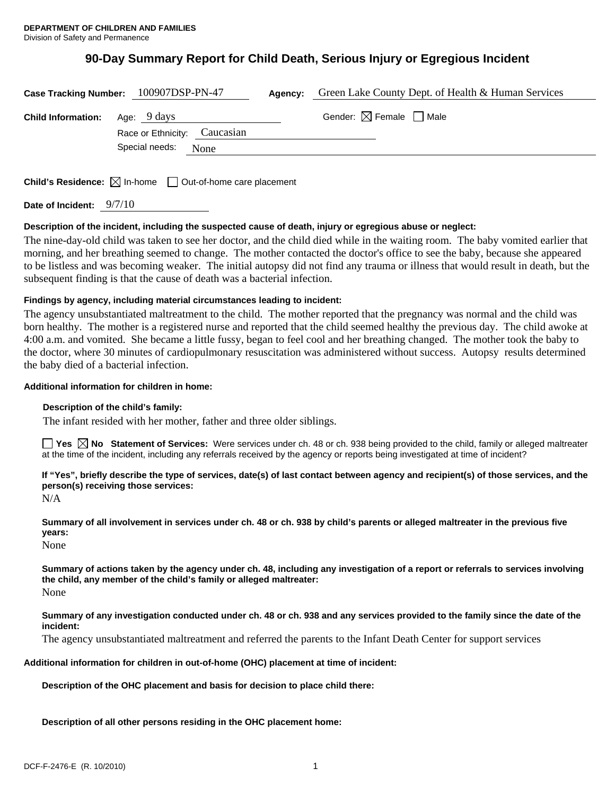# **90-Day Summary Report for Child Death, Serious Injury or Egregious Incident**

|                           | Case Tracking Number: 100907DSP-PN-47       | Agency: | Green Lake County Dept. of Health & Human Services |
|---------------------------|---------------------------------------------|---------|----------------------------------------------------|
| <b>Child Information:</b> | Age: 9 days<br>Race or Ethnicity: Caucasian |         | Gender: $\boxtimes$ Female $\Box$ Male             |
|                           | Special needs:<br>None                      |         |                                                    |
|                           |                                             |         |                                                    |

**Child's Residence:**  $\boxtimes$  In-home  $\Box$  Out-of-home care placement

**Date of Incident:** 9/7/10

# **Description of the incident, including the suspected cause of death, injury or egregious abuse or neglect:**

The nine-day-old child was taken to see her doctor, and the child died while in the waiting room. The baby vomited earlier that morning, and her breathing seemed to change. The mother contacted the doctor's office to see the baby, because she appeared to be listless and was becoming weaker. The initial autopsy did not find any trauma or illness that would result in death, but the subsequent finding is that the cause of death was a bacterial infection.

# **Findings by agency, including material circumstances leading to incident:**

The agency unsubstantiated maltreatment to the child. The mother reported that the pregnancy was normal and the child was born healthy. The mother is a registered nurse and reported that the child seemed healthy the previous day. The child awoke at 4:00 a.m. and vomited. She became a little fussy, began to feel cool and her breathing changed. The mother took the baby to the doctor, where 30 minutes of cardiopulmonary resuscitation was administered without success. Autopsy results determined the baby died of a bacterial infection.

# **Additional information for children in home:**

#### **Description of the child's family:**

The infant resided with her mother, father and three older siblings.

**Yes**  $\boxtimes$  **No** Statement of Services: Were services under ch. 48 or ch. 938 being provided to the child, family or alleged maltreater at the time of the incident, including any referrals received by the agency or reports being investigated at time of incident?

**If "Yes", briefly describe the type of services, date(s) of last contact between agency and recipient(s) of those services, and the person(s) receiving those services:** 

N/A

**Summary of all involvement in services under ch. 48 or ch. 938 by child's parents or alleged maltreater in the previous five years:** 

None

**Summary of actions taken by the agency under ch. 48, including any investigation of a report or referrals to services involving the child, any member of the child's family or alleged maltreater:**  None

**Summary of any investigation conducted under ch. 48 or ch. 938 and any services provided to the family since the date of the incident:** 

The agency unsubstantiated maltreatment and referred the parents to the Infant Death Center for support services

**Additional information for children in out-of-home (OHC) placement at time of incident:** 

**Description of the OHC placement and basis for decision to place child there:** 

**Description of all other persons residing in the OHC placement home:**